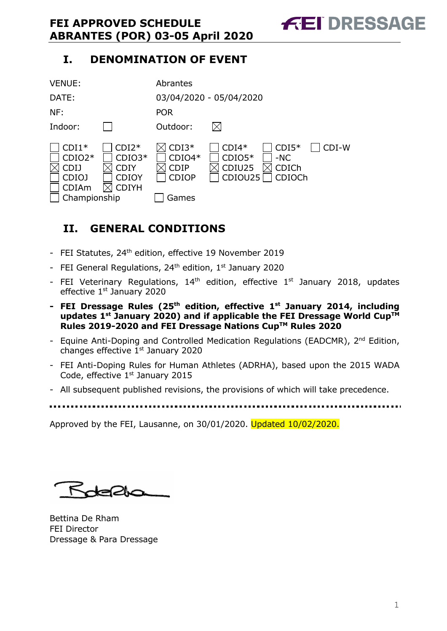# **I. DENOMINATION OF EVENT**

| <b>VENUE:</b>                                                        |                                                      | Abrantes                                             |                                          |                                     |       |
|----------------------------------------------------------------------|------------------------------------------------------|------------------------------------------------------|------------------------------------------|-------------------------------------|-------|
| DATE:                                                                |                                                      |                                                      | 03/04/2020 - 05/04/2020                  |                                     |       |
| NF:                                                                  |                                                      | <b>POR</b>                                           |                                          |                                     |       |
| Indoor:                                                              |                                                      | Outdoor:                                             |                                          |                                     |       |
| $CDI1*$<br>$CDIO2*$<br>CDIJ<br>CDIOJ<br><b>CDIAm</b><br>Championship | $CDI2*$<br>$CDIO3*$<br>CDIY<br><b>CDIOY</b><br>CDIYH | $CDI3*$<br>$CDIO4*$<br>CDIP<br><b>CDIOP</b><br>Games | $CDI4*$<br>$CDIO5*$<br>CDIU25<br>CDIOU25 | $CDI5*$<br>$-NC$<br>CDICh<br>CDIOCh | CDI-W |

# **II. GENERAL CONDITIONS**

- FEI Statutes, 24<sup>th</sup> edition, effective 19 November 2019
- FEI General Regulations,  $24<sup>th</sup>$  edition,  $1<sup>st</sup>$  January 2020
- FEI Veterinary Regulations,  $14<sup>th</sup>$  edition, effective  $1<sup>st</sup>$  January 2018, updates effective 1<sup>st</sup> January 2020
- **- FEI Dressage Rules (25th edition, effective 1st January 2014, including updates 1st January 2020) and if applicable the FEI Dressage World CupTM Rules 2019-2020 and FEI Dressage Nations CupTM Rules 2020**
- Equine Anti-Doping and Controlled Medication Regulations (EADCMR), 2<sup>nd</sup> Edition, changes effective 1<sup>st</sup> January 2020
- FEI Anti-Doping Rules for Human Athletes (ADRHA), based upon the 2015 WADA Code, effective 1<sup>st</sup> January 2015
- All subsequent published revisions, the provisions of which will take precedence.
- 

Approved by the FEI, Lausanne, on 30/01/2020. Updated 10/02/2020.

Roberts

Bettina De Rham FEI Director Dressage & Para Dressage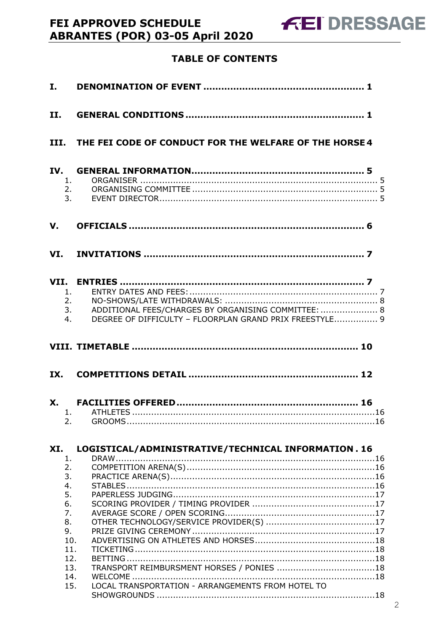# **TABLE OF CONTENTS**

| I.                               |                                                                                                                                          |
|----------------------------------|------------------------------------------------------------------------------------------------------------------------------------------|
| II.                              |                                                                                                                                          |
|                                  | III. THE FEI CODE OF CONDUCT FOR THE WELFARE OF THE HORSE 4                                                                              |
| 1.                               | 2.<br>3.                                                                                                                                 |
| V.                               |                                                                                                                                          |
|                                  |                                                                                                                                          |
| 1.<br>2.<br>4.                   | ADDITIONAL FEES/CHARGES BY ORGANISING COMMITTEE:  8<br>3.<br>DEGREE OF DIFFICULTY - FLOORPLAN GRAND PRIX FREESTYLE 9                     |
|                                  |                                                                                                                                          |
| IX.                              |                                                                                                                                          |
| 2.                               |                                                                                                                                          |
| XI.<br>1.<br>2.<br>3.            | LOGISTICAL/ADMINISTRATIVE/TECHNICAL INFORMATION. 16                                                                                      |
| 4.<br>5.<br>6.<br>7.<br>8.<br>9. | 10.<br>11.<br>12.<br>TRANSPORT REIMBURSMENT HORSES / PONIES 18<br>13.<br>14.<br>LOCAL TRANSPORTATION - ARRANGEMENTS FROM HOTEL TO<br>15. |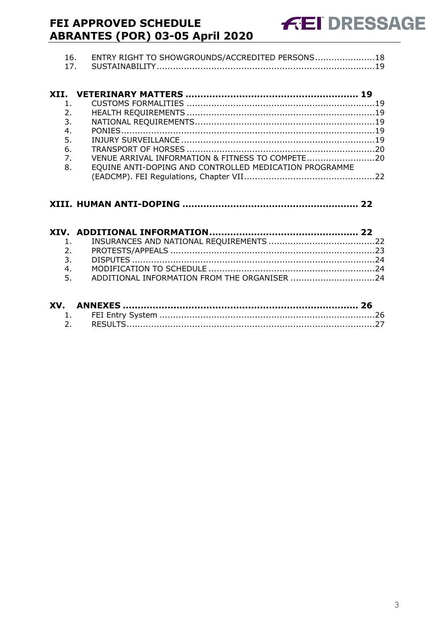| 16. | ENTRY RIGHT TO SHOWGROUNDS/ACCREDITED PERSONS 18 |  |
|-----|--------------------------------------------------|--|
|     |                                                  |  |

| 2.             |                                                        |  |
|----------------|--------------------------------------------------------|--|
| 3.             |                                                        |  |
| 4.             |                                                        |  |
| 5.             |                                                        |  |
| 6.             |                                                        |  |
| 7 <sub>1</sub> | VENUE ARRIVAL INFORMATION & FITNESS TO COMPETE20       |  |
| 8.             | EQUINE ANTI-DOPING AND CONTROLLED MEDICATION PROGRAMME |  |
|                |                                                        |  |

| 4. |                                                 |  |
|----|-------------------------------------------------|--|
|    | 5. ADDITIONAL INFORMATION FROM THE ORGANISER 24 |  |
|    |                                                 |  |
|    |                                                 |  |

| XV. |  |
|-----|--|
|     |  |
|     |  |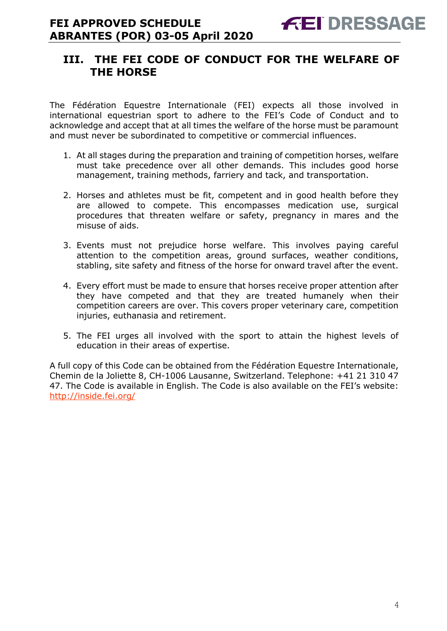# **III. THE FEI CODE OF CONDUCT FOR THE WELFARE OF THE HORSE**

The Fédération Equestre Internationale (FEI) expects all those involved in international equestrian sport to adhere to the FEI's Code of Conduct and to acknowledge and accept that at all times the welfare of the horse must be paramount and must never be subordinated to competitive or commercial influences.

- 1. At all stages during the preparation and training of competition horses, welfare must take precedence over all other demands. This includes good horse management, training methods, farriery and tack, and transportation.
- 2. Horses and athletes must be fit, competent and in good health before they are allowed to compete. This encompasses medication use, surgical procedures that threaten welfare or safety, pregnancy in mares and the misuse of aids.
- 3. Events must not prejudice horse welfare. This involves paying careful attention to the competition areas, ground surfaces, weather conditions, stabling, site safety and fitness of the horse for onward travel after the event.
- 4. Every effort must be made to ensure that horses receive proper attention after they have competed and that they are treated humanely when their competition careers are over. This covers proper veterinary care, competition injuries, euthanasia and retirement.
- 5. The FEI urges all involved with the sport to attain the highest levels of education in their areas of expertise.

A full copy of this Code can be obtained from the Fédération Equestre Internationale, Chemin de la Joliette 8, CH-1006 Lausanne, Switzerland. Telephone: +41 21 310 47 47. The Code is available in English. The Code is also available on the FEI's website: http://inside.fei.org/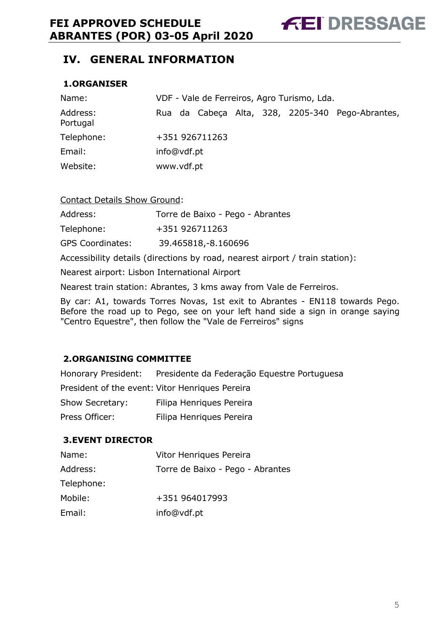**FEI DRESSAGE** 

# **IV. GENERAL INFORMATION**

# **1.ORGANISER**

| Name:                | VDF - Vale de Ferreiros, Agro Turismo, Lda. |  |                |  |  |  |                                                  |
|----------------------|---------------------------------------------|--|----------------|--|--|--|--------------------------------------------------|
| Address:<br>Portugal |                                             |  |                |  |  |  | Rua da Cabeça Alta, 328, 2205-340 Pego-Abrantes, |
| Telephone:           |                                             |  | +351 926711263 |  |  |  |                                                  |
| Email:               | info@vdf.pt                                 |  |                |  |  |  |                                                  |
| Website:             | www.vdf.pt                                  |  |                |  |  |  |                                                  |

#### Contact Details Show Ground:

Address: Torre de Baixo - Pego - Abrantes

Telephone: +351 926711263

GPS Coordinates: 39.465818,-8.160696

Accessibility details (directions by road, nearest airport / train station):

Nearest airport: Lisbon International Airport

Nearest train station: Abrantes, 3 kms away from Vale de Ferreiros.

By car: A1, towards Torres Novas, 1st exit to Abrantes - EN118 towards Pego. Before the road up to Pego, see on your left hand side a sign in orange saying "Centro Equestre", then follow the "Vale de Ferreiros" signs

# **2.ORGANISING COMMITTEE**

| Honorary President: | Presidente da Federação Equestre Portuguesa     |
|---------------------|-------------------------------------------------|
|                     | President of the event: Vitor Henriques Pereira |
| Show Secretary:     | Filipa Henriques Pereira                        |
| Press Officer:      | Filipa Henriques Pereira                        |

# **3.EVENT DIRECTOR**

| Name:      | Vitor Henriques Pereira          |
|------------|----------------------------------|
| Address:   | Torre de Baixo - Pego - Abrantes |
| Telephone: |                                  |
| Mobile:    | +351 964017993                   |
| Email:     | info@vdf.pt                      |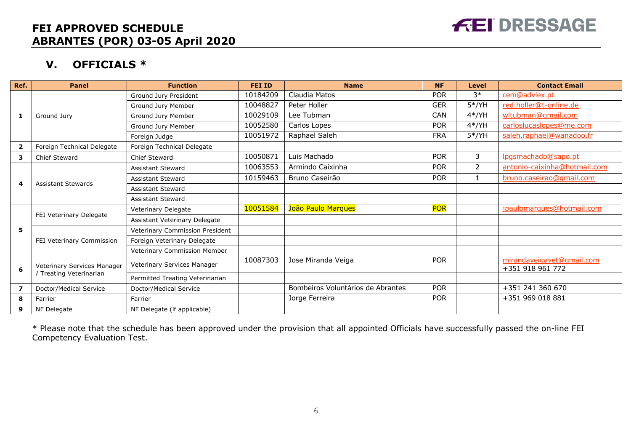

# **V. OFFICIALS \***

| Ref. | <b>Panel</b>                                           | <b>Function</b>                 | <b>FEI ID</b> | <b>Name</b>                       | <b>NF</b>  | <b>Level</b> | <b>Contact Email</b>                          |
|------|--------------------------------------------------------|---------------------------------|---------------|-----------------------------------|------------|--------------|-----------------------------------------------|
|      |                                                        | Ground Jury President           | 10184209      | Claudia Matos                     | <b>POR</b> | $3*$         | cem@advlex.pt                                 |
|      |                                                        | Ground Jury Member              | 10048827      | Peter Holler                      | <b>GER</b> | $5*/YH$      | red.holler@t-online.de                        |
| 1    | Ground Jury                                            | Ground Jury Member              | 10029109      | ee Tubman                         | <b>CAN</b> | $4*/YH$      | wltubman@gmail.com                            |
|      |                                                        | Ground Jury Member              | 10052580      | Carlos Lopes                      | <b>POR</b> | $4*/YH$      | carloslucaslopes@me.com                       |
|      |                                                        | Foreign Judge                   | 10051972      | Raphael Saleh                     | <b>FRA</b> | $5*/YH$      | saleh.raphael@wanadoo.fr                      |
| 2    | Foreign Technical Delegate                             | Foreign Technical Delegate      |               |                                   |            |              |                                               |
| 3    | Chief Steward                                          | Chief Steward                   | 10050871      | Luis Machado                      | <b>POR</b> | 3            | lpgsmachado@sapo.pt                           |
|      |                                                        | <b>Assistant Steward</b>        | 10063553      | Armindo Caixinha                  | <b>POR</b> | 2            | antonio-caixinha@hotmail.com                  |
| 4    | <b>Assistant Stewards</b>                              | <b>Assistant Steward</b>        | 10159463      | Bruno Caseirão                    | <b>POR</b> |              | bruno.caseirao@gmail.com                      |
|      |                                                        | <b>Assistant Steward</b>        |               |                                   |            |              |                                               |
|      |                                                        | <b>Assistant Steward</b>        |               |                                   |            |              |                                               |
|      | FEI Veterinary Delegate                                | Veterinary Delegate             | 10051584      | João Paulo Marques                | <b>POR</b> |              | jpaulomarques@hotmail.com                     |
|      |                                                        | Assistant Veterinary Delegate   |               |                                   |            |              |                                               |
| 5    |                                                        | Veterinary Commission President |               |                                   |            |              |                                               |
|      | FEI Veterinary Commission                              | Foreign Veterinary Delegate     |               |                                   |            |              |                                               |
|      |                                                        | Veterinary Commission Member    |               |                                   |            |              |                                               |
| 6    | Veterinary Services Manager<br>/ Treating Veterinarian | Veterinary Services Manager     | 10087303      | Jose Miranda Veiga                | <b>POR</b> |              | mirandaveigavet@gmail.com<br>+351 918 961 772 |
|      |                                                        | Permitted Treating Veterinarian |               |                                   |            |              |                                               |
| 7    | Doctor/Medical Service                                 | Doctor/Medical Service          |               | Bombeiros Voluntários de Abrantes | <b>POR</b> |              | +351 241 360 670                              |
| 8    | Farrier                                                | Farrier                         |               | Jorge Ferreira                    | <b>POR</b> |              | +351 969 018 881                              |
| 9    | NF Delegate                                            | NF Delegate (if applicable)     |               |                                   |            |              |                                               |

\* Please note that the schedule has been approved under the provision that all appointed Officials have successfully passed the on-line FEI Competency Evaluation Test.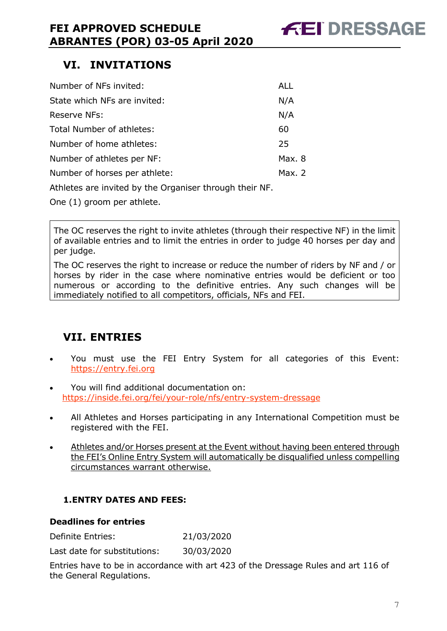# **VI. INVITATIONS**

| Number of NFs invited:                                                                                                                                                                                                            | ALL      |
|-----------------------------------------------------------------------------------------------------------------------------------------------------------------------------------------------------------------------------------|----------|
| State which NFs are invited:                                                                                                                                                                                                      | N/A      |
| Reserve NFs:                                                                                                                                                                                                                      | N/A      |
| Total Number of athletes:                                                                                                                                                                                                         | 60       |
| Number of home athletes:                                                                                                                                                                                                          | 25       |
| Number of athletes per NF:                                                                                                                                                                                                        | Max. 8   |
| Number of horses per athlete:                                                                                                                                                                                                     | Max. $2$ |
| $\mathbf{A}$ . The contract of the contract of the contract of the contract of the contract of the contract of the contract of the contract of the contract of the contract of the contract of the contract of the contract of th |          |

Athletes are invited by the Organiser through their NF.

One (1) groom per athlete.

The OC reserves the right to invite athletes (through their respective NF) in the limit of available entries and to limit the entries in order to judge 40 horses per day and per judge.

The OC reserves the right to increase or reduce the number of riders by NF and / or horses by rider in the case where nominative entries would be deficient or too numerous or according to the definitive entries. Any such changes will be immediately notified to all competitors, officials, NFs and FEI.

# **VII. ENTRIES**

- You must use the FEI Entry System for all categories of this Event: https://entry.fei.org
- You will find additional documentation on: https://inside.fei.org/fei/your-role/nfs/entry-system-dressage
- All Athletes and Horses participating in any International Competition must be registered with the FEI.
- Athletes and/or Horses present at the Event without having been entered through the FEI's Online Entry System will automatically be disqualified unless compelling circumstances warrant otherwise.

# **1.ENTRY DATES AND FEES:**

# **Deadlines for entries**

Definite Entries: 21/03/2020

Last date for substitutions: 30/03/2020

Entries have to be in accordance with art 423 of the Dressage Rules and art 116 of the General Regulations.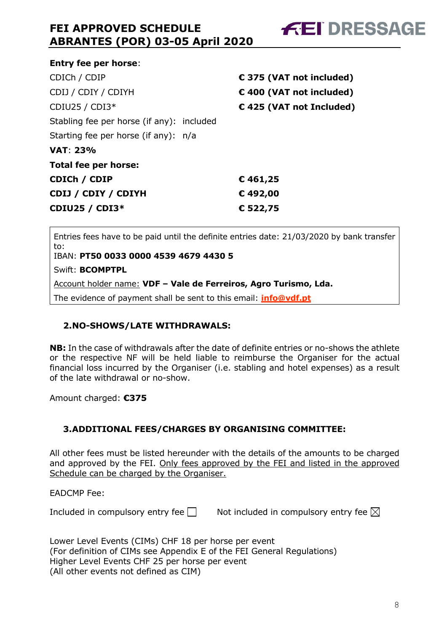|                                           | € 375 (VAT not included) |
|-------------------------------------------|--------------------------|
|                                           | € 400 (VAT not included) |
|                                           | €425 (VAT not Included)  |
| Stabling fee per horse (if any): included |                          |
| Starting fee per horse (if any): n/a      |                          |
|                                           |                          |
|                                           |                          |
|                                           | € 461,25                 |
|                                           | €492,00                  |
|                                           | € 522,75                 |
|                                           |                          |

Entries fees have to be paid until the definite entries date: 21/03/2020 by bank transfer to:

IBAN: **PT50 0033 0000 4539 4679 4430 5**

Swift: **BCOMPTPL**

Account holder name: **VDF – Vale de Ferreiros, Agro Turismo, Lda.**

The evidence of payment shall be sent to this email: **info@vdf.pt**

# **2.NO-SHOWS/LATE WITHDRAWALS:**

**NB:** In the case of withdrawals after the date of definite entries or no-shows the athlete or the respective NF will be held liable to reimburse the Organiser for the actual financial loss incurred by the Organiser (i.e. stabling and hotel expenses) as a result of the late withdrawal or no-show.

Amount charged: **€375**

# **3.ADDITIONAL FEES/CHARGES BY ORGANISING COMMITTEE:**

All other fees must be listed hereunder with the details of the amounts to be charged and approved by the FEI. Only fees approved by the FEI and listed in the approved Schedule can be charged by the Organiser.

EADCMP Fee:

Included in compulsory entry fee  $\Box$  Not included in compulsory entry fee  $\boxtimes$ 

Lower Level Events (CIMs) CHF 18 per horse per event (For definition of CIMs see Appendix E of the FEI General Regulations) Higher Level Events CHF 25 per horse per event (All other events not defined as CIM)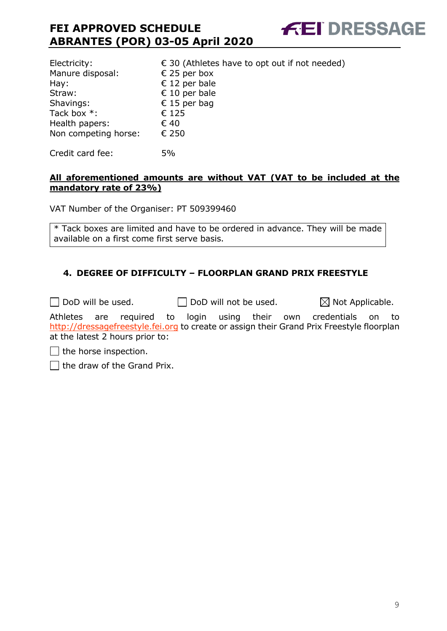| Electricity:         | $\epsilon$ 30 (Athletes have to opt out if not needed) |
|----------------------|--------------------------------------------------------|
| Manure disposal:     | € 25 per box                                           |
| Hay:                 | $\epsilon$ 12 per bale                                 |
| Straw:               | € 10 per bale                                          |
| Shavings:            | € 15 per bag                                           |
| Tack box *:          | € 125                                                  |
| Health papers:       | € 40                                                   |
| Non competing horse: | € 250                                                  |
|                      |                                                        |

Credit card fee: 5%

# **All aforementioned amounts are without VAT (VAT to be included at the mandatory rate of 23%)**

**FEI DRESSAGE** 

VAT Number of the Organiser: PT 509399460

\* Tack boxes are limited and have to be ordered in advance. They will be made available on a first come first serve basis.

# **4. DEGREE OF DIFFICULTY – FLOORPLAN GRAND PRIX FREESTYLE**

 $\Box$  DoD will be used.  $\Box$  DoD will not be used.  $\boxtimes$  Not Applicable.

Athletes are required to login using their own credentials on to http://dressagefreestyle.fei.org to create or assign their Grand Prix Freestyle floorplan at the latest 2 hours prior to:

 $\Box$  the horse inspection.

 $\Box$  the draw of the Grand Prix.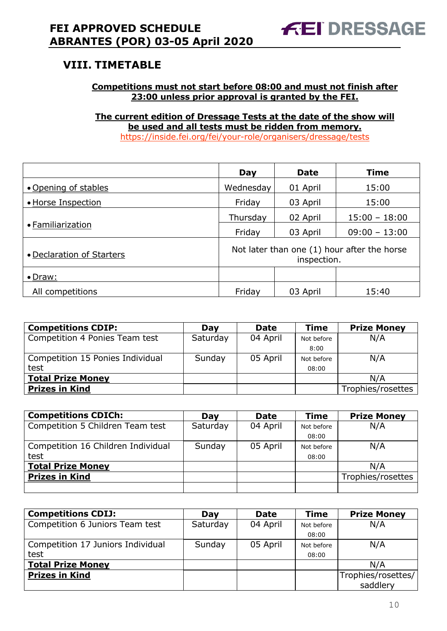# **VIII. TIMETABLE**

# **Competitions must not start before 08:00 and must not finish after 23:00 unless prior approval is granted by the FEI.**

**The current edition of Dressage Tests at the date of the show will be used and all tests must be ridden from memory.** https://inside.fei.org/fei/your-role/organisers/dressage/tests

|                           | Day                                                        | <b>Date</b> | <b>Time</b>     |  |
|---------------------------|------------------------------------------------------------|-------------|-----------------|--|
| • Opening of stables      | Wednesday                                                  | 01 April    | 15:00           |  |
| • Horse Inspection        | Friday                                                     | 03 April    | 15:00           |  |
|                           | Thursday                                                   | 02 April    | $15:00 - 18:00$ |  |
| • Familiarization         | Friday                                                     | 03 April    | $09:00 - 13:00$ |  |
| • Declaration of Starters | Not later than one (1) hour after the horse<br>inspection. |             |                 |  |
| $\bullet$ Draw:           |                                                            |             |                 |  |
| All competitions          | Friday                                                     | 03 April    | 15:40           |  |

| <b>Competitions CDIP:</b>        | Day      | <b>Date</b> | <b>Time</b> | <b>Prize Money</b> |
|----------------------------------|----------|-------------|-------------|--------------------|
| Competition 4 Ponies Team test   | Saturday | 04 April    | Not before  | N/A                |
|                                  |          |             | 8:00        |                    |
| Competition 15 Ponies Individual | Sunday   | 05 April    | Not before  | N/A                |
| test                             |          |             | 08:00       |                    |
| <b>Total Prize Money</b>         |          |             |             | N/A                |
| <b>Prizes in Kind</b>            |          |             |             | Trophies/rosettes  |

| <b>Competitions CDICh:</b>         | Day      | <b>Date</b> | <b>Time</b> | <b>Prize Money</b> |
|------------------------------------|----------|-------------|-------------|--------------------|
| Competition 5 Children Team test   | Saturday | 04 April    | Not before  | N/A                |
|                                    |          |             | 08:00       |                    |
| Competition 16 Children Individual | Sunday   | 05 April    | Not before  | N/A                |
| test                               |          |             | 08:00       |                    |
| <b>Total Prize Money</b>           |          |             |             | N/A                |
| <b>Prizes in Kind</b>              |          |             |             | Trophies/rosettes  |
|                                    |          |             |             |                    |

| <b>Competitions CDIJ:</b>         | Dav      | <b>Date</b> | <b>Time</b> | <b>Prize Money</b> |
|-----------------------------------|----------|-------------|-------------|--------------------|
| Competition 6 Juniors Team test   | Saturday | 04 April    | Not before  | N/A                |
|                                   |          |             | 08:00       |                    |
| Competition 17 Juniors Individual | Sunday   | 05 April    | Not before  | N/A                |
| test                              |          |             | 08:00       |                    |
| <b>Total Prize Money</b>          |          |             |             | N/A                |
| <b>Prizes in Kind</b>             |          |             |             | Trophies/rosettes/ |
|                                   |          |             |             | saddlery           |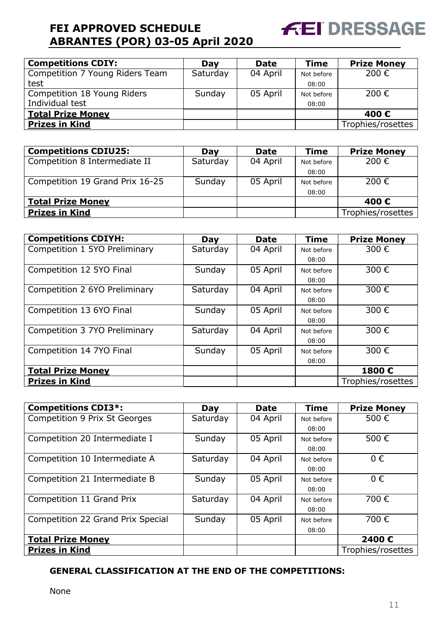

| <b>Competitions CDIY:</b>       | Day      | <b>Date</b> | <b>Time</b> | <b>Prize Money</b> |
|---------------------------------|----------|-------------|-------------|--------------------|
| Competition 7 Young Riders Team | Saturday | 04 April    | Not before  | 200€               |
| test                            |          |             | 08:00       |                    |
| Competition 18 Young Riders     | Sunday   | 05 April    | Not before  | 200€               |
| Individual test                 |          |             | 08:00       |                    |
| <b>Total Prize Money</b>        |          |             |             | 400€               |
| <b>Prizes in Kind</b>           |          |             |             | Trophies/rosettes  |

| <b>Competitions CDIU25:</b>     | Dav      | <b>Date</b> | <b>Time</b> | <b>Prize Money</b> |
|---------------------------------|----------|-------------|-------------|--------------------|
| Competition 8 Intermediate II   | Saturday | 04 April    | Not before  | 200 €              |
|                                 |          |             | 08:00       |                    |
| Competition 19 Grand Prix 16-25 | Sunday   | 05 April    | Not before  | 200 €              |
|                                 |          |             | 08:00       |                    |
| <b>Total Prize Money</b>        |          |             |             | 400€               |
| <b>Prizes in Kind</b>           |          |             |             | Trophies/rosettes  |

| <b>Competitions CDIYH:</b>    | Day      | <b>Date</b> | <b>Time</b> | <b>Prize Money</b> |
|-------------------------------|----------|-------------|-------------|--------------------|
| Competition 1 5YO Preliminary | Saturday | 04 April    | Not before  | 300€               |
|                               |          |             | 08:00       |                    |
| Competition 12 5YO Final      | Sunday   | 05 April    | Not before  | 300€               |
|                               |          |             | 08:00       |                    |
| Competition 2 6YO Preliminary | Saturday | 04 April    | Not before  | 300€               |
|                               |          |             | 08:00       |                    |
| Competition 13 6YO Final      | Sunday   | 05 April    | Not before  | 300€               |
|                               |          |             | 08:00       |                    |
| Competition 3 7YO Preliminary | Saturday | 04 April    | Not before  | 300€               |
|                               |          |             | 08:00       |                    |
| Competition 14 7YO Final      | Sunday   | 05 April    | Not before  | 300€               |
|                               |          |             | 08:00       |                    |
| <b>Total Prize Money</b>      |          |             |             | 1800€              |
| <b>Prizes in Kind</b>         |          |             |             | Trophies/rosettes  |

| <b>Competitions CDI3*:</b>           | Day      | <b>Date</b> | <b>Time</b> | <b>Prize Money</b> |
|--------------------------------------|----------|-------------|-------------|--------------------|
| <b>Competition 9 Prix St Georges</b> | Saturday | 04 April    | Not before  | 500€               |
|                                      |          |             | 08:00       |                    |
| Competition 20 Intermediate I        | Sunday   | 05 April    | Not before  | 500€               |
|                                      |          |             | 08:00       |                    |
| Competition 10 Intermediate A        | Saturday | 04 April    | Not before  | $0 \in$            |
|                                      |          |             | 08:00       |                    |
| Competition 21 Intermediate B        | Sunday   | 05 April    | Not before  | $0 \in$            |
|                                      |          |             | 08:00       |                    |
| Competition 11 Grand Prix            | Saturday | 04 April    | Not before  | 700€               |
|                                      |          |             | 08:00       |                    |
| Competition 22 Grand Prix Special    | Sunday   | 05 April    | Not before  | 700€               |
|                                      |          |             | 08:00       |                    |
| <b>Total Prize Money</b>             |          |             |             | 2400€              |
| <b>Prizes in Kind</b>                |          |             |             | Trophies/rosettes  |

# **GENERAL CLASSIFICATION AT THE END OF THE COMPETITIONS:**

None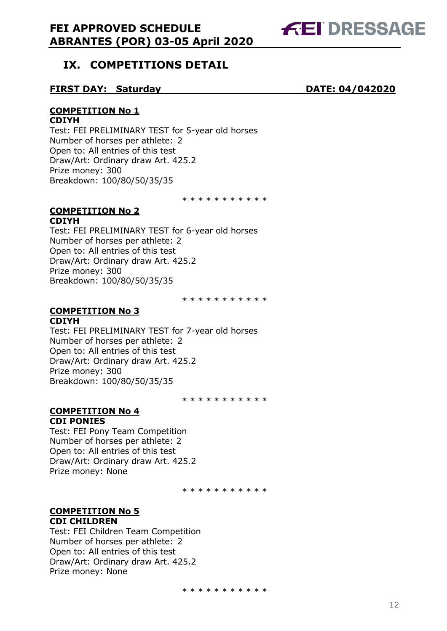

# **IX. COMPETITIONS DETAIL**

# **FIRST DAY: Saturday DATE: 04/042020**

# **COMPETITION No 1**

#### **CDIYH**

Test: FEI PRELIMINARY TEST for 5-year old horses Number of horses per athlete: 2 Open to: All entries of this test Draw/Art: Ordinary draw Art. 425.2 Prize money: 300 Breakdown: 100/80/50/35/35

\* \* \* \* \* \* \* \* \* \*

#### **COMPETITION No 2 CDIYH**

Test: FEI PRELIMINARY TEST for 6-year old horses Number of horses per athlete: 2 Open to: All entries of this test Draw/Art: Ordinary draw Art. 425.2 Prize money: 300 Breakdown: 100/80/50/35/35

\* \* \* \* \* \* \* \* \* \*

#### **COMPETITION No 3 CDIYH**

Test: FEI PRELIMINARY TEST for 7-year old horses Number of horses per athlete: 2 Open to: All entries of this test Draw/Art: Ordinary draw Art. 425.2 Prize money: 300 Breakdown: 100/80/50/35/35

\* \* \* \* \* \* \* \* \* \*

#### **COMPETITION No 4 CDI PONIES**

Test: FEI Pony Team Competition Number of horses per athlete: 2 Open to: All entries of this test Draw/Art: Ordinary draw Art. 425.2 Prize money: None

\* \* \* \* \* \* \* \* \* \*

#### **COMPETITION No 5 CDI CHILDREN**

Test: FEI Children Team Competition Number of horses per athlete: 2 Open to: All entries of this test Draw/Art: Ordinary draw Art. 425.2 Prize money: None

\* \* \* \* \* \* \* \* \* \* \*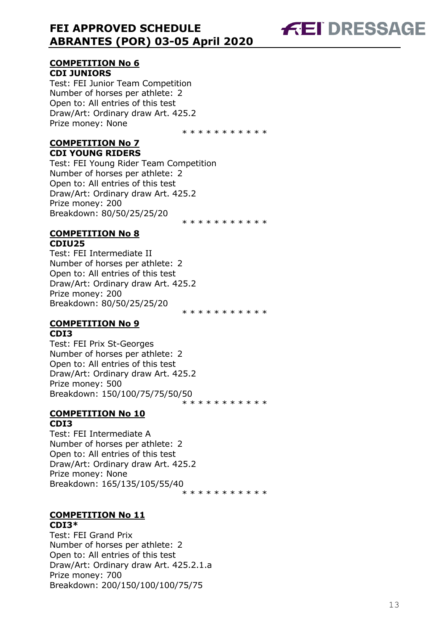# **COMPETITION No 6 CDI JUNIORS**

Test: FEI Junior Team Competition Number of horses per athlete: 2 Open to: All entries of this test Draw/Art: Ordinary draw Art. 425.2 Prize money: None

\* \* \* \* \* \* \* \* \* \*

**FEI DRESSAGE** 

\* \* \* \* \* \* \* \* \* \* \*

#### **COMPETITION No 7 CDI YOUNG RIDERS**

Test: FEI Young Rider Team Competition Number of horses per athlete: 2 Open to: All entries of this test Draw/Art: Ordinary draw Art. 425.2 Prize money: 200 Breakdown: 80/50/25/25/20

#### **COMPETITION No 8 CDIU25**

Test: FEI Intermediate II Number of horses per athlete: 2 Open to: All entries of this test Draw/Art: Ordinary draw Art. 425.2 Prize money: 200 Breakdown: 80/ 5 0 / 25/ 25/ 2 0 \* \* \* \* \* \* \* \* \* \*

# **COMPETITION No 9 CDI3**

Test: FEI Prix St -Georges Number of horses per athlete: 2 Open to: All entries of this test Draw/Art: Ordinary draw Art. 425.2 Prize money: 500 Breakdown: 150/100/75/75/50/50 \* \* \* \* \* \* \* \* \* \*

# **COMPETITION No 10 CDI3**

Test: FEI Intermediate A Number of horses per athlete: 2 Open to: All entries of this test Draw/Art: Ordinary draw Art. 425.2 Prize money: None Breakdown: 165 /13 5 /10 5/55/40 \* \* \* \* \* \* \* \* \* \*

#### **COMPETITION No 11 CDI3\***

Test: FEI Grand Prix Number of horses per athlete: 2 Open to: All entries of this test Draw/Art: Ordinary draw Art. 425.2.1.a Prize money: 700 Breakdown: 200/150/100/1 00/75/75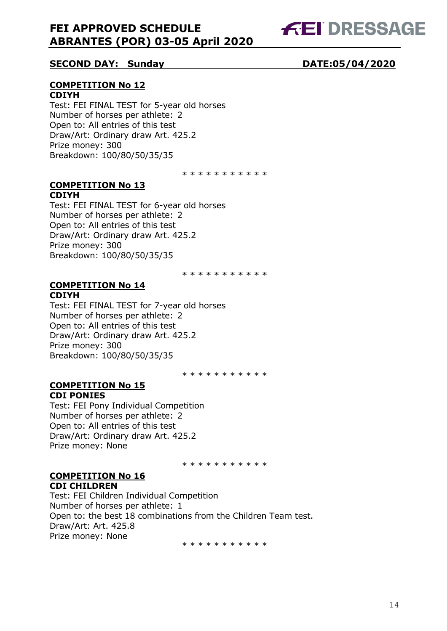

# **SECOND DAY: Sunday DATE:05/04/2020**

# **COMPETITION No 12 CDIYH**

Test: FEI FINAL TEST for 5-year old horses Number of horses per athlete: 2 Open to: All entries of this test Draw/Art: Ordinary draw Art. 425.2 Prize money: 300 Breakdown: 100/80/50/35/35

\* \* \* \* \* \* \* \* \* \*

#### **COMPETITION No 13 CDIYH**

Test: FEI FINAL TEST for 6-year old horses Number of horses per athlete: 2 Open to: All entries of this test Draw/Art: Ordinary draw Art. 425.2 Prize money: 300 Breakdown: 100/80/50/35/35

\* \* \* \* \* \* \* \* \* \*

#### **COMPETITION No 14 CDIYH**

Test: FEI FINAL TEST for 7-year old horses Number of horses per athlete: 2 Open to: All entries of this test Draw/Art: Ordinary draw Art. 425.2 Prize money: 300 Breakdown: 100/80/50/35/35

\* \* \* \* \* \* \* \* \* \*

#### **COMPETITION No 15 CDI PONIES**

Test: FEI Pony Individual Competition Number of horses per athlete: 2 Open to: All entries of this test Draw/Art: Ordinary draw Art. 425.2 Prize money: None

\* \* \* \* \* \* \* \* \* \*

#### **COMPETITION No 16 CDI CHILDREN**

Test: FEI Children Individual Competition Number of horses per athlete: 1 Open to: the best 18 combinations from the Children Team test. Draw/Art: Art. 425.8 Prize money: None

\* \* \* \* \* \* \* \* \* \*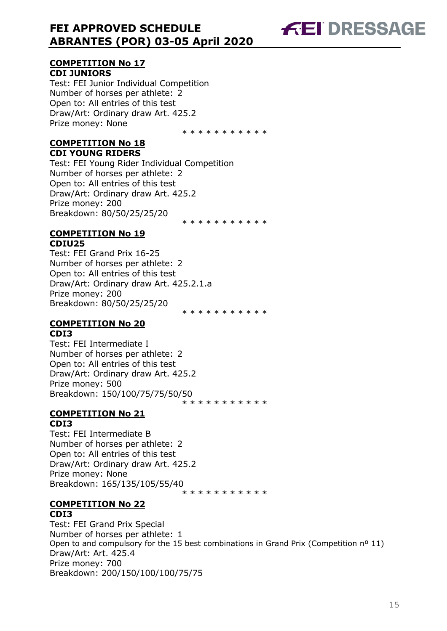# **FEI DRESSAGE**

# **COMPETITION No 17 CDI JUNIORS**

Test: FEI Junior Individual Competition Number of horses per athlete: 2 Open to: All entries of this test Draw/Art: Ordinary draw Art. 425.2 Prize money: None

\* \* \* \* \* \* \* \* \* \*

\* \* \* \* \* \* \* \* \* \* \*

### **COMPETITION No 18 CDI YOUNG RIDERS**

Test: FEI Young Rider Individual Competition Number of horses per athlete: 2 Open to: All entries of this test Draw/Art: Ordinary draw Art. 425.2 Prize money: 200 Breakdown: 80/50/25/25/20

#### **COMPETITION No 19 CDIU25**

Test: FEI Grand Prix 16-25 Number of horses per athlete: 2 Open to: All entries of this test Draw/Art: Ordinary draw Art. 425.2.1.a Prize money: 200 Breakdown: 80/50/25/25/20 \* \* \* \* \* \* \* \* \* \*

#### **COMPETITION No 20 CDI3**

Test: FEI Intermediate I Number of horses per athlete: 2 Open to: All entries of this test Draw/Art: Ordinary draw Art. 425.2 Prize money: 500 Breakdown: 150/100/75/75/50/50 \* \* \* \* \* \* \* \* \* \*

# **COMPETITION No 21 CDI3**

Test: FEI Intermediate B Number of horses per athlete: 2 Open to: All entries of this test Draw/Art: Ordinary draw Art. 425.2 Prize money: None Breakdown: 165/135/105/55/40 \* \* \* \* \* \* \* \* \* \*

#### **COMPETITION No 22 CDI3**

Test: FEI Grand Prix Special Number of horses per athlete: 1 Open to and compulsory for the 15 best combinations in Grand Prix (Competition nº 11) Draw/Art: Art. 425.4 Prize money: 700 Breakdown: 200/150/100/100/75/75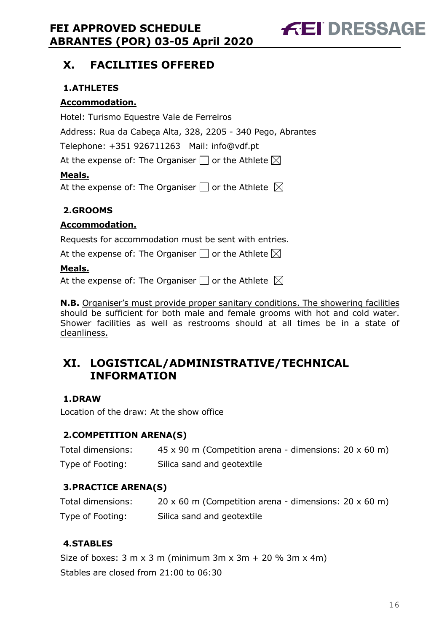**FEI DRESSAGE** 

# **X. FACILITIES OFFERED**

# **1.ATHLETES**

# **Accommodation.**

Hotel: Turismo Equestre Vale de Ferreiros Address: Rua da Cabeça Alta, 328, 2205 - 340 Pego, Abrantes Telephone: +351 926711263 Mail: info@vdf.pt At the expense of: The Organiser  $\Box$  or the Athlete  $\boxtimes$ 

# **Meals.**

At the expense of: The Organiser  $\Box$  or the Athlete  $\boxtimes$ 

# **2.GROOMS**

# **Accommodation.**

Requests for accommodation must be sent with entries.

At the expense of: The Organiser  $\Box$  or the Athlete  $\boxtimes$ 

# **Meals.**

At the expense of: The Organiser  $\Box$  or the Athlete  $\boxtimes$ 

**N.B.** Organiser's must provide proper sanitary conditions. The showering facilities should be sufficient for both male and female grooms with hot and cold water. Shower facilities as well as restrooms should at all times be in a state of cleanliness.

# **XI. LOGISTICAL/ADMINISTRATIVE/TECHNICAL INFORMATION**

# **1.DRAW**

Location of the draw: At the show office

# **2.COMPETITION ARENA(S)**

| Total dimensions: | $45 \times 90$ m (Competition arena - dimensions: 20 x 60 m) |
|-------------------|--------------------------------------------------------------|
| Type of Footing:  | Silica sand and geotextile                                   |

# **3.PRACTICE ARENA(S)**

| Total dimensions: | 20 x 60 m (Competition arena - dimensions: $20 \times 60$ m) |
|-------------------|--------------------------------------------------------------|
| Type of Footing:  | Silica sand and geotextile                                   |

# **4.STABLES**

Size of boxes:  $3 \text{ m} \times 3 \text{ m}$  (minimum  $3 \text{ m} \times 3 \text{ m} + 20 \%$   $3 \text{ m} \times 4 \text{ m}$ ) Stables are closed from 21:00 to 06:30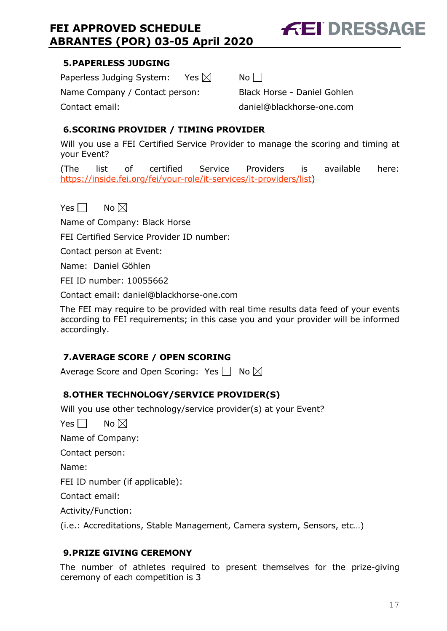# **FEI DRESSAGE**

# **5.PAPERLESS JUDGING**

Paperless Judging System: Yes  $\boxtimes$  No  $\Box$ 

Name Company / Contact person: Black Horse - Daniel Gohlen

Contact email: daniel@blackhorse-one.com

# **6.SCORING PROVIDER / TIMING PROVIDER**

Will you use a FEI Certified Service Provider to manage the scoring and timing at your Event?

(The list of certified Service Providers is available here: https://inside.fei.org/fei/your-role/it-services/it-providers/list)

Yes  $\Box$  No  $\boxtimes$ 

Name of Company: Black Horse

FEI Certified Service Provider ID number:

Contact person at Event:

Name: Daniel Göhlen

FEI ID number: 10055662

Contact email: daniel@blackhorse-one.com

The FEI may require to be provided with real time results data feed of your events according to FEI requirements; in this case you and your provider will be informed accordingly.

# **7.AVERAGE SCORE / OPEN SCORING**

Average Score and Open Scoring: Yes  $\Box$  No  $\boxtimes$ 

# **8.OTHER TECHNOLOGY/SERVICE PROVIDER(S)**

Will you use other technology/service provider(s) at your Event?

Yes  $\Box$  No  $\boxtimes$ 

Name of Company:

Contact person:

Name:

FEI ID number (if applicable):

Contact email:

Activity/Function:

(i.e.: Accreditations, Stable Management, Camera system, Sensors, etc…)

# **9.PRIZE GIVING CEREMONY**

The number of athletes required to present themselves for the prize-giving ceremony of each competition is 3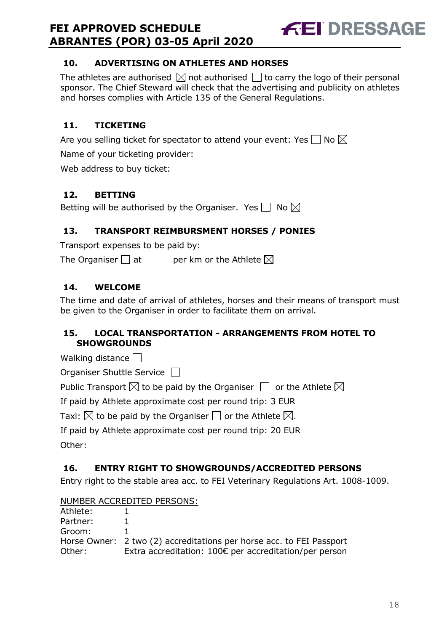

# **10. ADVERTISING ON ATHLETES AND HORSES**

The athletes are authorised  $\boxtimes$  not authorised  $\Box$  to carry the logo of their personal sponsor. The Chief Steward will check that the advertising and publicity on athletes and horses complies with Article 135 of the General Regulations.

# **11. TICKETING**

Are you selling ticket for spectator to attend your event: Yes  $\Box$  No  $\boxtimes$ 

Name of your ticketing provider:

Web address to buy ticket:

# **12. BETTING**

Betting will be authorised by the Organiser. Yes  $\Box$  No  $\boxtimes$ 

# **13. TRANSPORT REIMBURSMENT HORSES / PONIES**

Transport expenses to be paid by:

The Organiser  $\Box$  at entries ber km or the Athlete  $\boxtimes$ 

# **14. WELCOME**

The time and date of arrival of athletes, horses and their means of transport must be given to the Organiser in order to facilitate them on arrival.

# **15. LOCAL TRANSPORTATION - ARRANGEMENTS FROM HOTEL TO SHOWGROUNDS**

Walking distance  $\Box$ 

Organiser Shuttle Service  $\Box$ 

Public Transport  $\boxtimes$  to be paid by the Organiser  $\Box$  or the Athlete  $\boxtimes$ 

If paid by Athlete approximate cost per round trip: 3 EUR

Taxi:  $\boxtimes$  to be paid by the Organiser  $\Box$  or the Athlete  $\boxtimes$ .

If paid by Athlete approximate cost per round trip: 20 EUR

Other:

# **16. ENTRY RIGHT TO SHOWGROUNDS/ACCREDITED PERSONS**

Entry right to the stable area acc. to FEI Veterinary Regulations Art. 1008-1009.

NUMBER ACCREDITED PERSONS:

| Athlete: |                                                                      |
|----------|----------------------------------------------------------------------|
| Partner: |                                                                      |
| Groom:   |                                                                      |
|          | Horse Owner: 2 two (2) accreditations per horse acc. to FEI Passport |
| Other:   | Extra accreditation: 100€ per accreditation/per person               |
|          |                                                                      |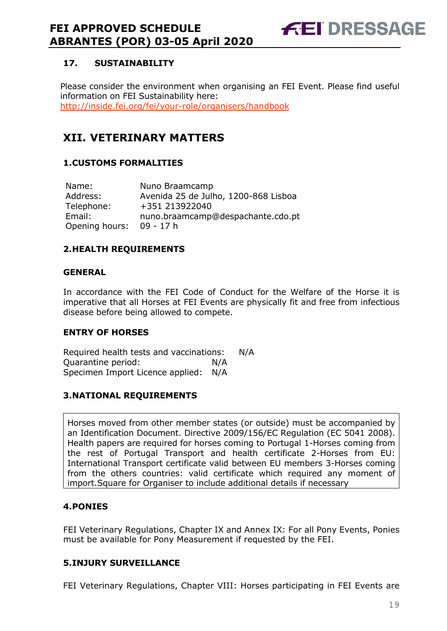

# **17. SUSTAINABILITY**

Please consider the environment when organising an FEI Event. Please find useful information on FEI Sustainability here: http://inside.fei.org/fei/your-role/organisers/handbook

# **XII. VETERINARY MATTERS**

# **1.CUSTOMS FORMALITIES**

| Name:          | Nuno Braamcamp                       |
|----------------|--------------------------------------|
| Address:       | Avenida 25 de Julho, 1200-868 Lisboa |
| Telephone:     | +351 213922040                       |
| Email:         | nuno.braamcamp@despachante.cdo.pt    |
| Opening hours: | 09 - 17 h                            |

# **2.HEALTH REQUIREMENTS**

#### **GENERAL**

In accordance with the FEI Code of Conduct for the Welfare of the Horse it is imperative that all Horses at FEI Events are physically fit and free from infectious disease before being allowed to compete.

# **ENTRY OF HORSES**

Required health tests and vaccinations: N/A Quarantine period: N/A Specimen Import Licence applied: N/A

# **3.NATIONAL REQUIREMENTS**

Horses moved from other member states (or outside) must be accompanied by an Identification Document. Directive 2009/156/EC Regulation (EC 5041 2008). Health papers are required for horses coming to Portugal 1-Horses coming from the rest of Portugal Transport and health certificate 2-Horses from EU: International Transport certificate valid between EU members 3-Horses coming from the others countries: valid certificate which required any moment of import.Square for Organiser to include additional details if necessary

# **4.PONIES**

FEI Veterinary Regulations, Chapter IX and Annex IX: For all Pony Events, Ponies must be available for Pony Measurement if requested by the FEI.

# **5.INJURY SURVEILLANCE**

FEI Veterinary Regulations, Chapter VIII: Horses participating in FEI Events are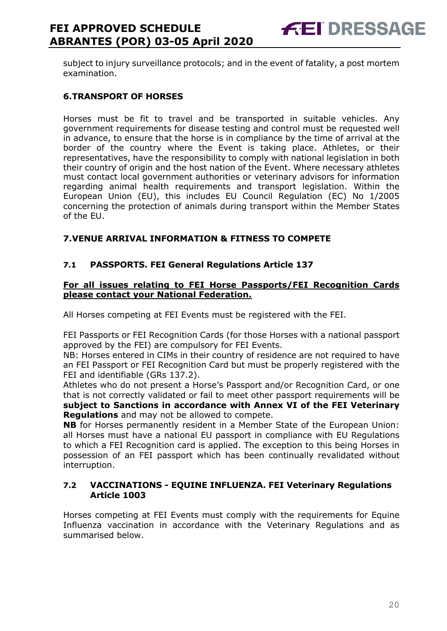subject to injury surveillance protocols; and in the event of fatality, a post mortem examination.

# **6.TRANSPORT OF HORSES**

Horses must be fit to travel and be transported in suitable vehicles. Any government requirements for disease testing and control must be requested well in advance, to ensure that the horse is in compliance by the time of arrival at the border of the country where the Event is taking place. Athletes, or their representatives, have the responsibility to comply with national legislation in both their country of origin and the host nation of the Event. Where necessary athletes must contact local government authorities or veterinary advisors for information regarding animal health requirements and transport legislation. Within the European Union (EU), this includes EU Council Regulation (EC) No 1/2005 concerning the protection of animals during transport within the Member States of the EU.

# **7.VENUE ARRIVAL INFORMATION & FITNESS TO COMPETE**

# **7.1 PASSPORTS. FEI General Regulations Article 137**

#### **For all issues relating to FEI Horse Passports/FEI Recognition Cards please contact your National Federation.**

All Horses competing at FEI Events must be registered with the FEI.

FEI Passports or FEI Recognition Cards (for those Horses with a national passport approved by the FEI) are compulsory for FEI Events.

NB: Horses entered in CIMs in their country of residence are not required to have an FEI Passport or FEI Recognition Card but must be properly registered with the FEI and identifiable (GRs 137.2).

Athletes who do not present a Horse's Passport and/or Recognition Card, or one that is not correctly validated or fail to meet other passport requirements will be **subject to Sanctions in accordance with Annex VI of the FEI Veterinary Regulations** and may not be allowed to compete.

**NB** for Horses permanently resident in a Member State of the European Union: all Horses must have a national EU passport in compliance with EU Regulations to which a FEI Recognition card is applied. The exception to this being Horses in possession of an FEI passport which has been continually revalidated without interruption.

#### **7.2 VACCINATIONS - EQUINE INFLUENZA. FEI Veterinary Regulations Article 1003**

Horses competing at FEI Events must comply with the requirements for Equine Influenza vaccination in accordance with the Veterinary Regulations and as summarised below.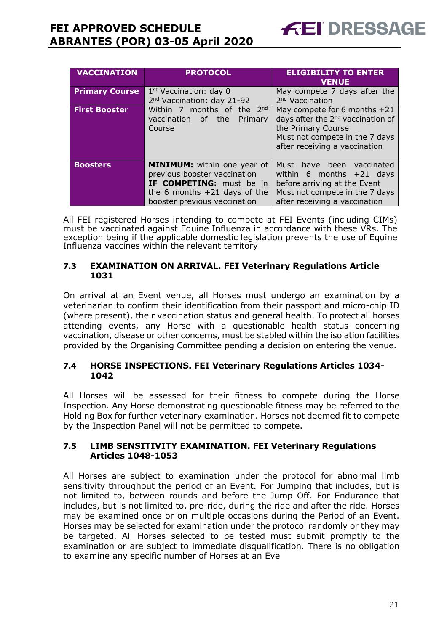| <b>VACCINATION</b>    | <b>PROTOCOL</b>                                                                   | <b>ELIGIBILITY TO ENTER</b><br><b>VENUE</b> |
|-----------------------|-----------------------------------------------------------------------------------|---------------------------------------------|
| <b>Primary Course</b> | 1 <sup>st</sup> Vaccination: day 0                                                | May compete 7 days after the                |
|                       | 2 <sup>nd</sup> Vaccination: day 21-92                                            | 2 <sup>nd</sup> Vaccination                 |
| <b>First Booster</b>  | Within 7 months of the $2^{nd}$                                                   | May compete for 6 months $+21$              |
|                       | days after the 2 <sup>nd</sup> vaccination of<br>vaccination of<br>the<br>Primary |                                             |
|                       | Course                                                                            | the Primary Course                          |
|                       |                                                                                   | Must not compete in the 7 days              |
|                       |                                                                                   | after receiving a vaccination               |
|                       |                                                                                   |                                             |
| <b>Boosters</b>       | MINIMUM: within one year of                                                       | Must have been vaccinated                   |
|                       | previous booster vaccination                                                      | within 6 months $+21$ days                  |
|                       | <b>IF COMPETING:</b> must be in                                                   | before arriving at the Event                |
|                       | the 6 months $+21$ days of the                                                    | Must not compete in the 7 days              |
|                       | booster previous vaccination                                                      | after receiving a vaccination               |

All FEI registered Horses intending to compete at FEI Events (including CIMs) must be vaccinated against Equine Influenza in accordance with these VRs. The exception being if the applicable domestic legislation prevents the use of Equine Influenza vaccines within the relevant territory

# **7.3 EXAMINATION ON ARRIVAL. FEI Veterinary Regulations Article 1031**

On arrival at an Event venue, all Horses must undergo an examination by a veterinarian to confirm their identification from their passport and micro-chip ID (where present), their vaccination status and general health. To protect all horses attending events, any Horse with a questionable health status concerning vaccination, disease or other concerns, must be stabled within the isolation facilities provided by the Organising Committee pending a decision on entering the venue.

# **7.4 HORSE INSPECTIONS. FEI Veterinary Regulations Articles 1034- 1042**

All Horses will be assessed for their fitness to compete during the Horse Inspection. Any Horse demonstrating questionable fitness may be referred to the Holding Box for further veterinary examination. Horses not deemed fit to compete by the Inspection Panel will not be permitted to compete.

#### **7.5 LIMB SENSITIVITY EXAMINATION. FEI Veterinary Regulations Articles 1048-1053**

All Horses are subject to examination under the protocol for abnormal limb sensitivity throughout the period of an Event. For Jumping that includes, but is not limited to, between rounds and before the Jump Off. For Endurance that includes, but is not limited to, pre-ride, during the ride and after the ride. Horses may be examined once or on multiple occasions during the Period of an Event. Horses may be selected for examination under the protocol randomly or they may be targeted. All Horses selected to be tested must submit promptly to the examination or are subject to immediate disqualification. There is no obligation to examine any specific number of Horses at an Eve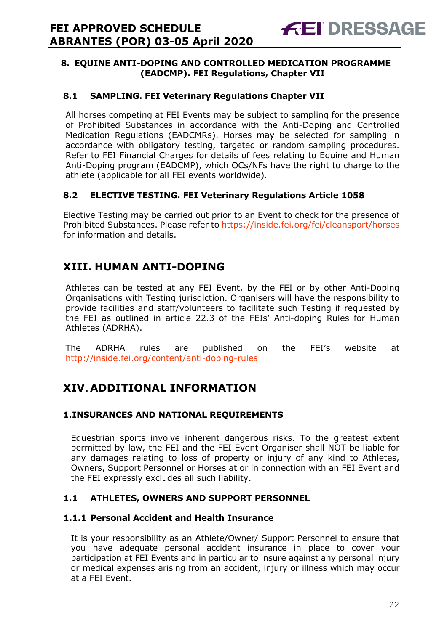# **8. EQUINE ANTI-DOPING AND CONTROLLED MEDICATION PROGRAMME (EADCMP). FEI Regulations, Chapter VII**

# **8.1 SAMPLING. FEI Veterinary Regulations Chapter VII**

All horses competing at FEI Events may be subject to sampling for the presence of Prohibited Substances in accordance with the Anti-Doping and Controlled Medication Regulations (EADCMRs). Horses may be selected for sampling in accordance with obligatory testing, targeted or random sampling procedures. Refer to FEI Financial Charges for details of fees relating to Equine and Human Anti-Doping program (EADCMP), which OCs/NFs have the right to charge to the athlete (applicable for all FEI events worldwide).

# **8.2 ELECTIVE TESTING. FEI Veterinary Regulations Article 1058**

Elective Testing may be carried out prior to an Event to check for the presence of Prohibited Substances. Please refer to https://inside.fei.org/fei/cleansport/horses for information and details.

# **XIII. HUMAN ANTI-DOPING**

Athletes can be tested at any FEI Event, by the FEI or by other Anti-Doping Organisations with Testing jurisdiction. Organisers will have the responsibility to provide facilities and staff/volunteers to facilitate such Testing if requested by the FEI as outlined in article 22.3 of the FEIs' Anti-doping Rules for Human Athletes (ADRHA).

The ADRHA rules are published on the FEI's website at http://inside.fei.org/content/anti-doping-rules

# **XIV. ADDITIONAL INFORMATION**

# **1.INSURANCES AND NATIONAL REQUIREMENTS**

Equestrian sports involve inherent dangerous risks. To the greatest extent permitted by law, the FEI and the FEI Event Organiser shall NOT be liable for any damages relating to loss of property or injury of any kind to Athletes, Owners, Support Personnel or Horses at or in connection with an FEI Event and the FEI expressly excludes all such liability.

# **1.1 ATHLETES, OWNERS AND SUPPORT PERSONNEL**

#### **1.1.1 Personal Accident and Health Insurance**

It is your responsibility as an Athlete/Owner/ Support Personnel to ensure that you have adequate personal accident insurance in place to cover your participation at FEI Events and in particular to insure against any personal injury or medical expenses arising from an accident, injury or illness which may occur at a FEI Event.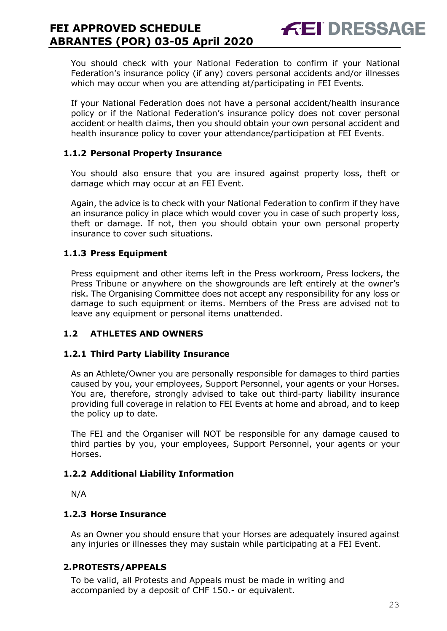You should check with your National Federation to confirm if your National Federation's insurance policy (if any) covers personal accidents and/or illnesses which may occur when you are attending at/participating in FEI Events.

**FEI DRESSAGE** 

If your National Federation does not have a personal accident/health insurance policy or if the National Federation's insurance policy does not cover personal accident or health claims, then you should obtain your own personal accident and health insurance policy to cover your attendance/participation at FEI Events.

# **1.1.2 Personal Property Insurance**

You should also ensure that you are insured against property loss, theft or damage which may occur at an FEI Event.

Again, the advice is to check with your National Federation to confirm if they have an insurance policy in place which would cover you in case of such property loss, theft or damage. If not, then you should obtain your own personal property insurance to cover such situations.

# **1.1.3 Press Equipment**

Press equipment and other items left in the Press workroom, Press lockers, the Press Tribune or anywhere on the showgrounds are left entirely at the owner's risk. The Organising Committee does not accept any responsibility for any loss or damage to such equipment or items. Members of the Press are advised not to leave any equipment or personal items unattended.

# **1.2 ATHLETES AND OWNERS**

# **1.2.1 Third Party Liability Insurance**

As an Athlete/Owner you are personally responsible for damages to third parties caused by you, your employees, Support Personnel, your agents or your Horses. You are, therefore, strongly advised to take out third-party liability insurance providing full coverage in relation to FEI Events at home and abroad, and to keep the policy up to date.

The FEI and the Organiser will NOT be responsible for any damage caused to third parties by you, your employees, Support Personnel, your agents or your Horses.

# **1.2.2 Additional Liability Information**

N/A

# **1.2.3 Horse Insurance**

As an Owner you should ensure that your Horses are adequately insured against any injuries or illnesses they may sustain while participating at a FEI Event.

# **2.PROTESTS/APPEALS**

To be valid, all Protests and Appeals must be made in writing and accompanied by a deposit of CHF 150.- or equivalent.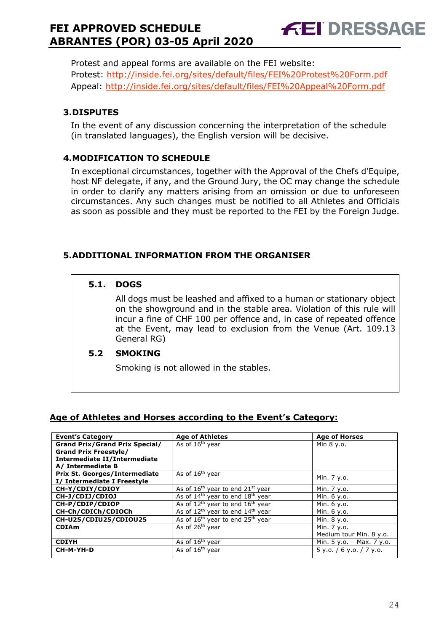**FEI DRESSAGE** 

Protest and appeal forms are available on the FEI website: Protest: http://inside.fei.org/sites/default/files/FEI%20Protest%20Form.pdf Appeal: http://inside.fei.org/sites/default/files/FEI%20Appeal%20Form.pdf

# **3.DISPUTES**

In the event of any discussion concerning the interpretation of the schedule (in translated languages), the English version will be decisive.

# **4.MODIFICATION TO SCHEDULE**

In exceptional circumstances, together with the Approval of the Chefs d'Equipe, host NF delegate, if any, and the Ground Jury, the OC may change the schedule in order to clarify any matters arising from an omission or due to unforeseen circumstances. Any such changes must be notified to all Athletes and Officials as soon as possible and they must be reported to the FEI by the Foreign Judge.

# **5.ADDITIONAL INFORMATION FROM THE ORGANISER**

# **5.1. DOGS**

All dogs must be leashed and affixed to a human or stationary object on the showground and in the stable area. Violation of this rule will incur a fine of CHF 100 per offence and, in case of repeated offence at the Event, may lead to exclusion from the Venue (Art. 109.13 General RG)

# **5.2 SMOKING**

Smoking is not allowed in the stables.

# **Age of Athletes and Horses according to the Event's Category:**

| <b>Event's Category</b>               | <b>Age of Athletes</b>                     | <b>Age of Horses</b>        |
|---------------------------------------|--------------------------------------------|-----------------------------|
| <b>Grand Prix/Grand Prix Special/</b> | As of 16 <sup>th</sup> year                | Min 8 y.o.                  |
| <b>Grand Prix Freestyle/</b>          |                                            |                             |
| <b>Intermediate II/Intermediate</b>   |                                            |                             |
| A/ Intermediate B                     |                                            |                             |
| Prix St. Georges/Intermediate         | As of 16 <sup>th</sup> year                | Min. 7 y.o.                 |
| I/ Intermediate I Freestyle           |                                            |                             |
| CH-Y/CDIY/CDIOY                       | As of $16^{th}$ year to end $21^{st}$ year | Min. 7 y.o.                 |
| CH-J/CDIJ/CDIOJ                       | As of $14th$ year to end $18th$ year       | Min. 6 y.o.                 |
| CH-P/CDIP/CDIOP                       | As of $12^{th}$ year to end $16^{th}$ year | Min. 6 y.o.                 |
| CH-Ch/CDICh/CDIOCh                    | As of $12^{th}$ year to end $14^{th}$ year | Min. 6 y.o.                 |
| CH-U25/CDIU25/CDIOU25                 | As of $16th$ year to end $25th$ year       | Min. 8 y.o.                 |
| <b>CDIAm</b>                          | As of 26 <sup>th</sup> vear                | Min. 7 y.o.                 |
|                                       |                                            | Medium tour Min. 8 y.o.     |
| <b>CDIYH</b>                          | As of 16 <sup>th</sup> year                | Min. $5 y.o. - Max. 7 y.o.$ |
| CH-M-YH-D                             | As of $16th$ year                          | 5 y.o. / 6 y.o. / 7 y.o.    |
|                                       |                                            |                             |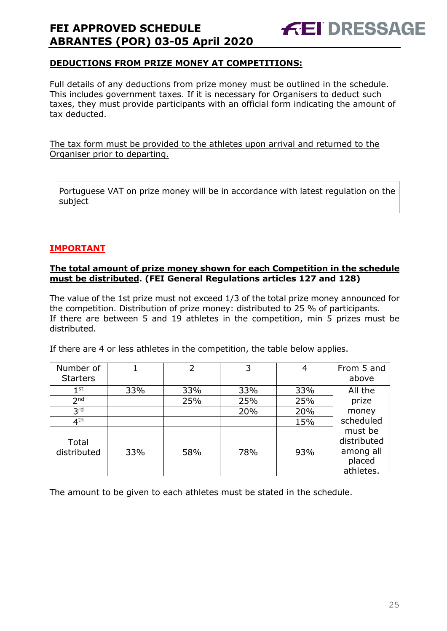

# **DEDUCTIONS FROM PRIZE MONEY AT COMPETITIONS:**

Full details of any deductions from prize money must be outlined in the schedule. This includes government taxes. If it is necessary for Organisers to deduct such taxes, they must provide participants with an official form indicating the amount of tax deducted.

The tax form must be provided to the athletes upon arrival and returned to the Organiser prior to departing.

Portuguese VAT on prize money will be in accordance with latest regulation on the subject

# **IMPORTANT**

#### **The total amount of prize money shown for each Competition in the schedule must be distributed. (FEI General Regulations articles 127 and 128)**

The value of the 1st prize must not exceed 1/3 of the total prize money announced for the competition. Distribution of prize money: distributed to 25 % of participants. If there are between 5 and 19 athletes in the competition, min 5 prizes must be distributed.

If there are 4 or less athletes in the competition, the table below applies.

| Number of            |     | 2   | 3   | 4   | From 5 and                                                 |
|----------------------|-----|-----|-----|-----|------------------------------------------------------------|
| <b>Starters</b>      |     |     |     |     | above                                                      |
| 1 <sup>st</sup>      | 33% | 33% | 33% | 33% | All the                                                    |
| 2 <sub>nd</sub>      |     | 25% | 25% | 25% | prize                                                      |
| 3 <sup>rd</sup>      |     |     | 20% | 20% | money                                                      |
| 4 <sup>th</sup>      |     |     |     | 15% | scheduled                                                  |
| Total<br>distributed | 33% | 58% | 78% | 93% | must be<br>distributed<br>among all<br>placed<br>athletes. |

The amount to be given to each athletes must be stated in the schedule.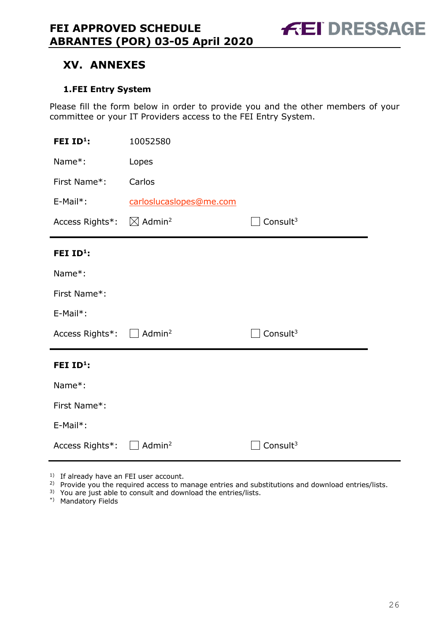**FEI DRESSAGE** 

# **XV. ANNEXES**

# **1.FEI Entry System**

Please fill the form below in order to provide you and the other members of your committee or your IT Providers access to the FEI Entry System.

| FEI ID <sup>1</sup> :  | 10052580                       |             |  |  |
|------------------------|--------------------------------|-------------|--|--|
| Name*:                 | Lopes                          |             |  |  |
| First Name*:           | Carlos                         |             |  |  |
| E-Mail*:               | carloslucaslopes@me.com        |             |  |  |
| Access Rights*:        | $\boxtimes$ Admin <sup>2</sup> | Consult $3$ |  |  |
| FEI ID <sup>1</sup> :  |                                |             |  |  |
| Name*:                 |                                |             |  |  |
| First Name*:           |                                |             |  |  |
| E-Mail*:               |                                |             |  |  |
| Access Rights*: $\Box$ | Admin <sup>2</sup>             | Consult $3$ |  |  |
| FEI ID <sup>1</sup> :  |                                |             |  |  |
| Name*:                 |                                |             |  |  |
| First Name*:           |                                |             |  |  |
| E-Mail*:               |                                |             |  |  |
| Access Rights*:        | Admin <sup>2</sup>             | Consult $3$ |  |  |

<sup>1)</sup> If already have an FEI user account.

- <sup>2)</sup> Provide you the required access to manage entries and substitutions and download entries/lists.
- <sup>3)</sup> You are just able to consult and download the entries/lists.
- \*) Mandatory Fields